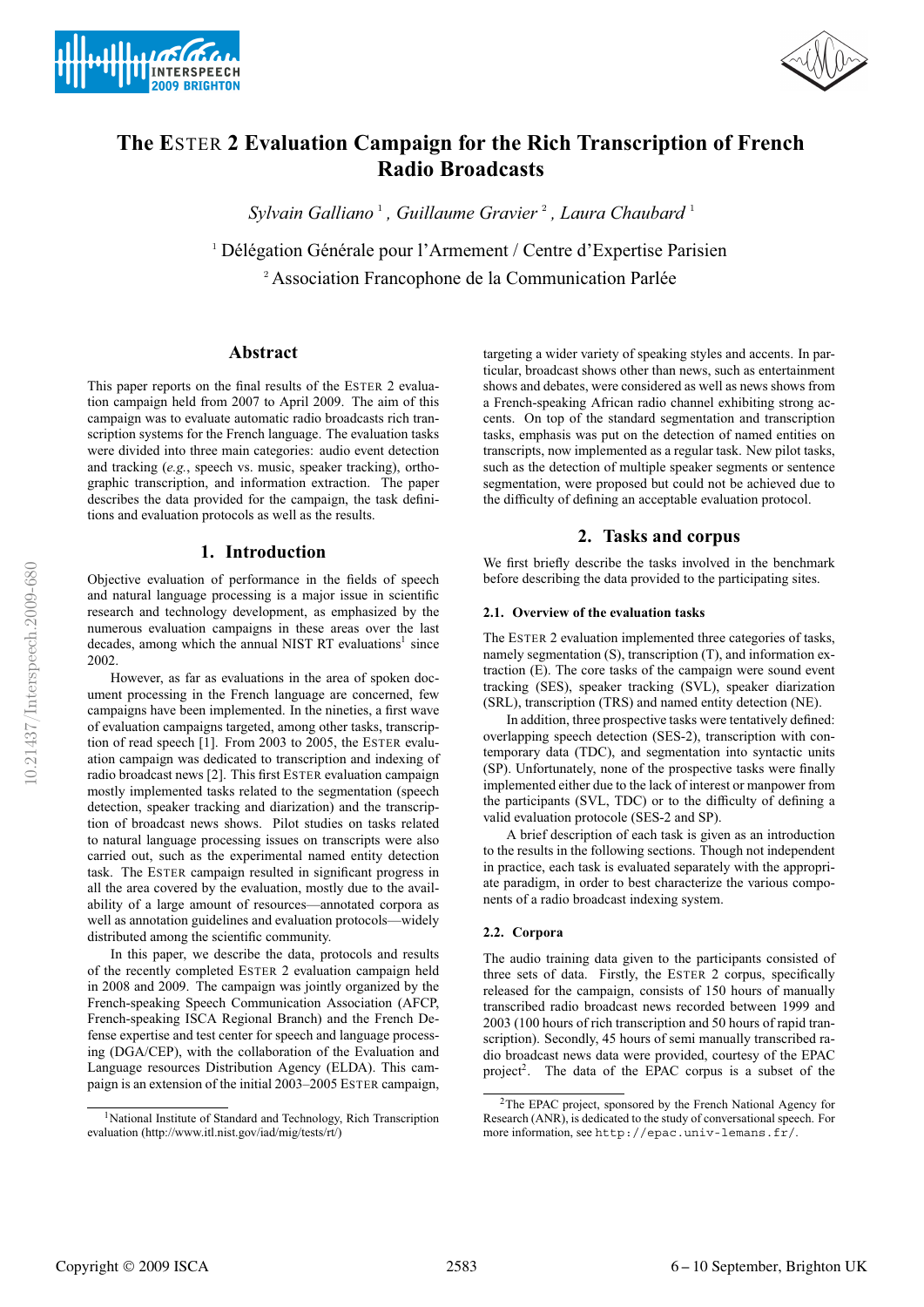



# **The E**STER **2 Evaluation Campaign for the Rich Transcription of French Radio Broadcasts**

*Sylvain Galliano* <sup>1</sup> *, Guillaume Gravier* <sup>2</sup> *, Laura Chaubard* <sup>1</sup>

 $1$  Délégation Générale pour l'Armement / Centre d'Expertise Parisien <sup>2</sup> Association Francophone de la Communication Parlée

## **Abstract**

This paper reports on the final results of the ESTER 2 evaluation campaign held from 2007 to April 2009. The aim of this campaign was to evaluate automatic radio broadcasts rich transcription systems for the French language. The evaluation tasks were divided into three main categories: audio event detection and tracking (*e.g.*, speech vs. music, speaker tracking), orthographic transcription, and information extraction. The paper describes the data provided for the campaign, the task definitions and evaluation protocols as well as the results.

## **1. Introduction**

Objective evaluation of performance in the fields of speech and natural language processing is a major issue in scientific research and technology development, as emphasized by the numerous evaluation campaigns in these areas over the last decades, among which the annual NIST RT evaluations<sup>1</sup> since 2002.

However, as far as evaluations in the area of spoken document processing in the French language are concerned, few campaigns have been implemented. In the nineties, a first wave of evaluation campaigns targeted, among other tasks, transcription of read speech [1]. From 2003 to 2005, the ESTER evaluation campaign was dedicated to transcription and indexing of radio broadcast news [2]. This first ESTER evaluation campaign mostly implemented tasks related to the segmentation (speech detection, speaker tracking and diarization) and the transcription of broadcast news shows. Pilot studies on tasks related to natural language processing issues on transcripts were also carried out, such as the experimental named entity detection task. The ESTER campaign resulted in significant progress in all the area covered by the evaluation, mostly due to the availability of a large amount of resources—annotated corpora as well as annotation guidelines and evaluation protocols—widely distributed among the scientific community.

In this paper, we describe the data, protocols and results of the recently completed ESTER 2 evaluation campaign held in 2008 and 2009. The campaign was jointly organized by the French-speaking Speech Communication Association (AFCP, French-speaking ISCA Regional Branch) and the French Defense expertise and test center for speech and language processing (DGA/CEP), with the collaboration of the Evaluation and Language resources Distribution Agency (ELDA). This campaign is an extension of the initial 2003–2005 ESTER campaign, targeting a wider variety of speaking styles and accents. In particular, broadcast shows other than news, such as entertainment shows and debates, were considered as well as news shows from a French-speaking African radio channel exhibiting strong accents. On top of the standard segmentation and transcription tasks, emphasis was put on the detection of named entities on transcripts, now implemented as a regular task. New pilot tasks, such as the detection of multiple speaker segments or sentence segmentation, were proposed but could not be achieved due to the difficulty of defining an acceptable evaluation protocol.

# **2. Tasks and corpus**

We first briefly describe the tasks involved in the benchmark before describing the data provided to the participating sites.

#### **2.1. Overview of the evaluation tasks**

The ESTER 2 evaluation implemented three categories of tasks, namely segmentation (S), transcription (T), and information extraction (E). The core tasks of the campaign were sound event tracking (SES), speaker tracking (SVL), speaker diarization (SRL), transcription (TRS) and named entity detection (NE).

In addition, three prospective tasks were tentatively defined: overlapping speech detection (SES-2), transcription with contemporary data (TDC), and segmentation into syntactic units (SP). Unfortunately, none of the prospective tasks were finally implemented either due to the lack of interest or manpower from the participants (SVL, TDC) or to the difficulty of defining a valid evaluation protocole (SES-2 and SP).

A brief description of each task is given as an introduction to the results in the following sections. Though not independent in practice, each task is evaluated separately with the appropriate paradigm, in order to best characterize the various components of a radio broadcast indexing system.

## **2.2. Corpora**

The audio training data given to the participants consisted of three sets of data. Firstly, the ESTER 2 corpus, specifically released for the campaign, consists of 150 hours of manually transcribed radio broadcast news recorded between 1999 and 2003 (100 hours of rich transcription and 50 hours of rapid transcription). Secondly, 45 hours of semi manually transcribed radio broadcast news data were provided, courtesy of the EPAC project<sup>2</sup>. The data of the EPAC corpus is a subset of the

<sup>1</sup>National Institute of Standard and Technology, Rich Transcription evaluation (http://www.itl.nist.gov/iad/mig/tests/rt/)

<sup>2</sup>The EPAC project, sponsored by the French National Agency for Research (ANR), is dedicated to the study of conversational speech. For more information, see http://epac.univ-lemans.fr/.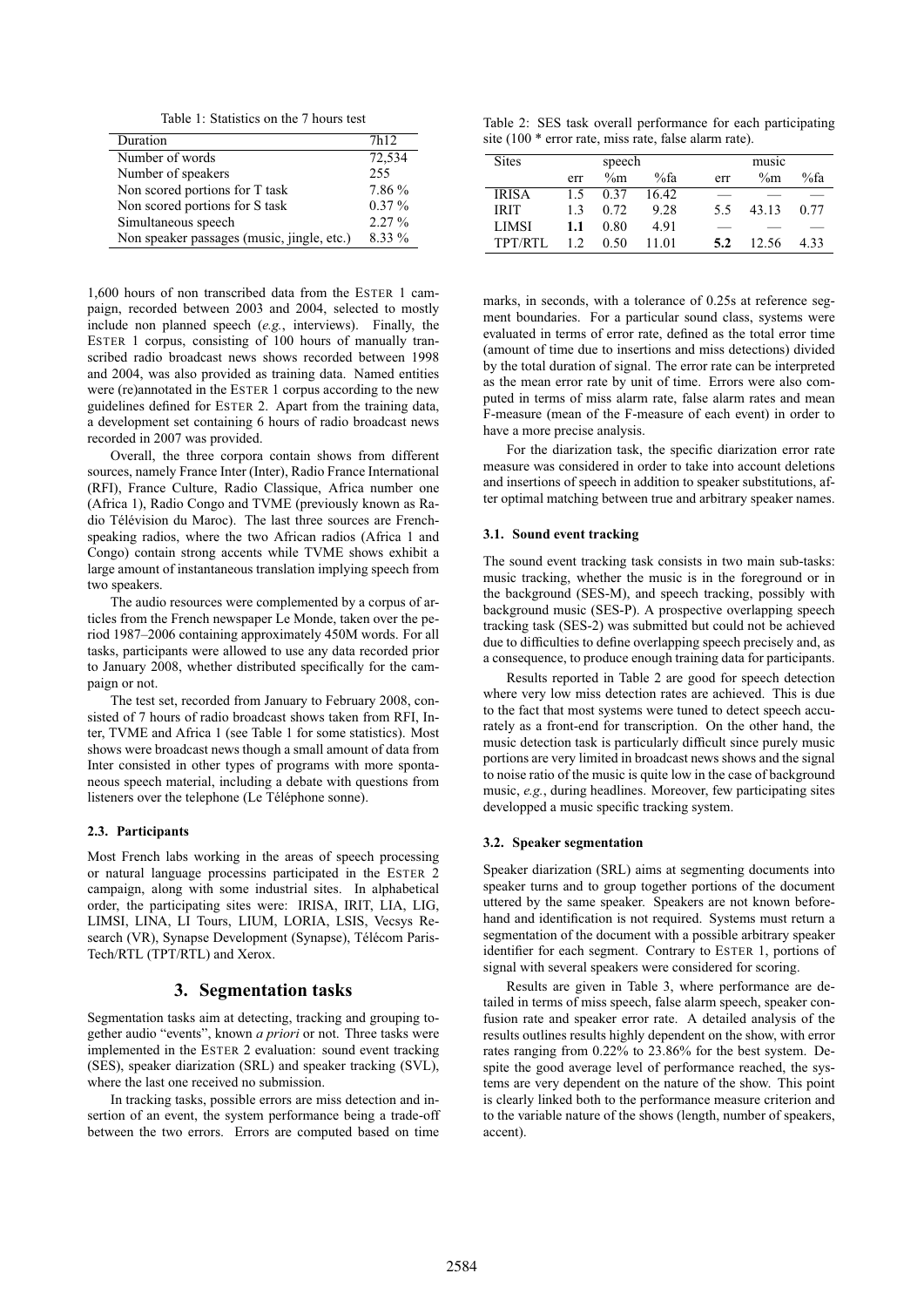Table 1: Statistics on the 7 hours test

| Duration                                   | 7h <sub>12</sub> |
|--------------------------------------------|------------------|
| Number of words                            | 72,534           |
| Number of speakers                         | 255              |
| Non scored portions for T task             | 7.86 %           |
| Non scored portions for S task             | $0.37\%$         |
| Simultaneous speech                        | $2.27\%$         |
| Non speaker passages (music, jingle, etc.) | 8.33 %           |

1,600 hours of non transcribed data from the ESTER 1 campaign, recorded between 2003 and 2004, selected to mostly include non planned speech (*e.g.*, interviews). Finally, the ESTER 1 corpus, consisting of 100 hours of manually transcribed radio broadcast news shows recorded between 1998 and 2004, was also provided as training data. Named entities were (re)annotated in the ESTER 1 corpus according to the new guidelines defined for ESTER 2. Apart from the training data, a development set containing 6 hours of radio broadcast news recorded in 2007 was provided.

Overall, the three corpora contain shows from different sources, namely France Inter (Inter), Radio France International (RFI), France Culture, Radio Classique, Africa number one (Africa 1), Radio Congo and TVME (previously known as Radio Télévision du Maroc). The last three sources are Frenchspeaking radios, where the two African radios (Africa 1 and Congo) contain strong accents while TVME shows exhibit a large amount of instantaneous translation implying speech from two speakers.

The audio resources were complemented by a corpus of articles from the French newspaper Le Monde, taken over the period 1987–2006 containing approximately 450M words. For all tasks, participants were allowed to use any data recorded prior to January 2008, whether distributed specifically for the campaign or not.

The test set, recorded from January to February 2008, consisted of 7 hours of radio broadcast shows taken from RFI, Inter, TVME and Africa 1 (see Table 1 for some statistics). Most shows were broadcast news though a small amount of data from Inter consisted in other types of programs with more spontaneous speech material, including a debate with questions from listeners over the telephone (Le Téléphone sonne).

#### **2.3. Participants**

Most French labs working in the areas of speech processing or natural language processins participated in the ESTER 2 campaign, along with some industrial sites. In alphabetical order, the participating sites were: IRISA, IRIT, LIA, LIG, LIMSI, LINA, LI Tours, LIUM, LORIA, LSIS, Vecsys Research (VR), Synapse Development (Synapse), Télécom Paris-Tech/RTL (TPT/RTL) and Xerox.

## **3. Segmentation tasks**

Segmentation tasks aim at detecting, tracking and grouping together audio "events", known *a priori* or not. Three tasks were implemented in the ESTER 2 evaluation: sound event tracking (SES), speaker diarization (SRL) and speaker tracking (SVL), where the last one received no submission.

In tracking tasks, possible errors are miss detection and insertion of an event, the system performance being a trade-off between the two errors. Errors are computed based on time

Table 2: SES task overall performance for each participating site (100 \* error rate, miss rate, false alarm rate).

|     |       |       | music  |       |         |  |
|-----|-------|-------|--------|-------|---------|--|
| err | $\%m$ | %fa   | err    | $\%m$ | $\%$ fa |  |
| 1.5 | 0.37  | 16.42 |        |       |         |  |
| 13  | 0.72  | 9.28  | 5.5    | 43.13 | 0.77    |  |
| 1.1 | 0.80  | 4.91  |        |       |         |  |
| 12  | 0.50  | 11 01 | 5.2    | 12.56 | 4.33    |  |
|     |       |       | speech |       |         |  |

marks, in seconds, with a tolerance of 0.25s at reference segment boundaries. For a particular sound class, systems were evaluated in terms of error rate, defined as the total error time (amount of time due to insertions and miss detections) divided by the total duration of signal. The error rate can be interpreted as the mean error rate by unit of time. Errors were also computed in terms of miss alarm rate, false alarm rates and mean F-measure (mean of the F-measure of each event) in order to have a more precise analysis.

For the diarization task, the specific diarization error rate measure was considered in order to take into account deletions and insertions of speech in addition to speaker substitutions, after optimal matching between true and arbitrary speaker names.

#### **3.1. Sound event tracking**

The sound event tracking task consists in two main sub-tasks: music tracking, whether the music is in the foreground or in the background (SES-M), and speech tracking, possibly with background music (SES-P). A prospective overlapping speech tracking task (SES-2) was submitted but could not be achieved due to difficulties to define overlapping speech precisely and, as a consequence, to produce enough training data for participants.

Results reported in Table 2 are good for speech detection where very low miss detection rates are achieved. This is due to the fact that most systems were tuned to detect speech accurately as a front-end for transcription. On the other hand, the music detection task is particularly difficult since purely music portions are very limited in broadcast news shows and the signal to noise ratio of the music is quite low in the case of background music, *e.g.*, during headlines. Moreover, few participating sites developped a music specific tracking system.

#### **3.2. Speaker segmentation**

Speaker diarization (SRL) aims at segmenting documents into speaker turns and to group together portions of the document uttered by the same speaker. Speakers are not known beforehand and identification is not required. Systems must return a segmentation of the document with a possible arbitrary speaker identifier for each segment. Contrary to ESTER 1, portions of signal with several speakers were considered for scoring.

Results are given in Table 3, where performance are detailed in terms of miss speech, false alarm speech, speaker confusion rate and speaker error rate. A detailed analysis of the results outlines results highly dependent on the show, with error rates ranging from 0.22% to 23.86% for the best system. Despite the good average level of performance reached, the systems are very dependent on the nature of the show. This point is clearly linked both to the performance measure criterion and to the variable nature of the shows (length, number of speakers, accent).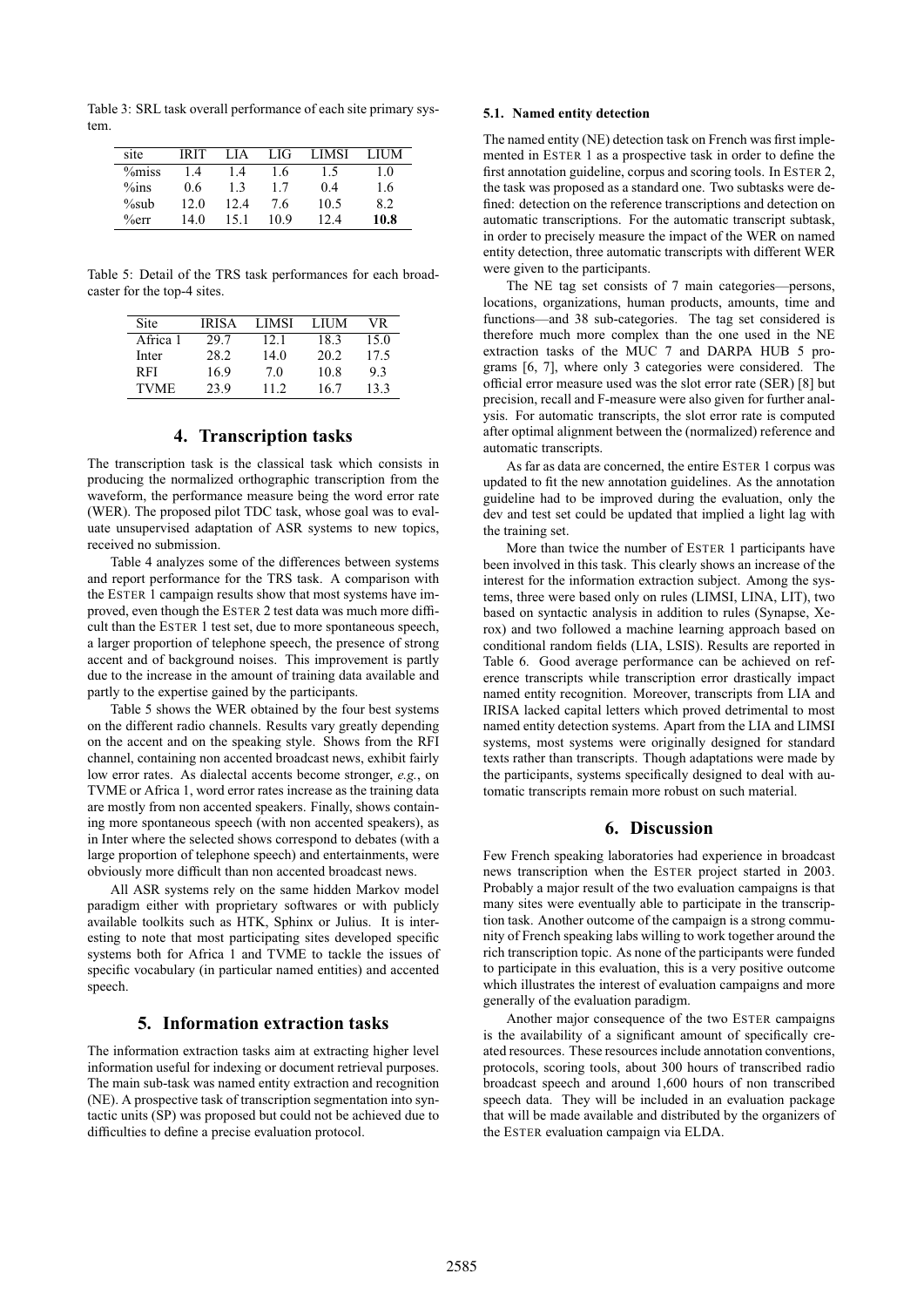Table 3: SRL task overall performance of each site primary system.

| site      | IRIT | LIA  | LIG  | <b>LIMSI</b> | LIUM |
|-----------|------|------|------|--------------|------|
| $\%$ miss | 1.4  | 1.4  | 1.6  | 1.5          | 1.0  |
| $\%$ ins  | 0.6  | 13   | 1.7  | 0.4          | 1.6  |
| $\%sub$   | 12.0 | 12.4 | 7.6  | 10.5         | 8.2  |
| $\%$ err  | 14.0 | 151  | 10.9 | 124          | 10.8 |

Table 5: Detail of the TRS task performances for each broadcaster for the top-4 sites.

| Site        | <b>IRISA</b> | LIMSI | LIUM | VR.  |
|-------------|--------------|-------|------|------|
| Africa 1    | 29.7         | 12.1  | 18.3 | 15.0 |
| Inter       | 28.2         | 14.0  | 20.2 | 17.5 |
| R FI        | 16.9         | 7.0   | 10.8 | 9.3  |
| <b>TVME</b> | 23.9         | 11.2  | 16.7 | 13.3 |

# **4. Transcription tasks**

The transcription task is the classical task which consists in producing the normalized orthographic transcription from the waveform, the performance measure being the word error rate (WER). The proposed pilot TDC task, whose goal was to evaluate unsupervised adaptation of ASR systems to new topics, received no submission.

Table 4 analyzes some of the differences between systems and report performance for the TRS task. A comparison with the ESTER 1 campaign results show that most systems have improved, even though the ESTER 2 test data was much more difficult than the ESTER 1 test set, due to more spontaneous speech, a larger proportion of telephone speech, the presence of strong accent and of background noises. This improvement is partly due to the increase in the amount of training data available and partly to the expertise gained by the participants.

Table 5 shows the WER obtained by the four best systems on the different radio channels. Results vary greatly depending on the accent and on the speaking style. Shows from the RFI channel, containing non accented broadcast news, exhibit fairly low error rates. As dialectal accents become stronger, *e.g.*, on TVME or Africa 1, word error rates increase as the training data are mostly from non accented speakers. Finally, shows containing more spontaneous speech (with non accented speakers), as in Inter where the selected shows correspond to debates (with a large proportion of telephone speech) and entertainments, were obviously more difficult than non accented broadcast news.

All ASR systems rely on the same hidden Markov model paradigm either with proprietary softwares or with publicly available toolkits such as HTK, Sphinx or Julius. It is interesting to note that most participating sites developed specific systems both for Africa 1 and TVME to tackle the issues of specific vocabulary (in particular named entities) and accented speech.

## **5. Information extraction tasks**

The information extraction tasks aim at extracting higher level information useful for indexing or document retrieval purposes. The main sub-task was named entity extraction and recognition (NE). A prospective task of transcription segmentation into syntactic units (SP) was proposed but could not be achieved due to difficulties to define a precise evaluation protocol.

#### **5.1. Named entity detection**

The named entity (NE) detection task on French was first implemented in ESTER 1 as a prospective task in order to define the first annotation guideline, corpus and scoring tools. In ESTER 2, the task was proposed as a standard one. Two subtasks were defined: detection on the reference transcriptions and detection on automatic transcriptions. For the automatic transcript subtask, in order to precisely measure the impact of the WER on named entity detection, three automatic transcripts with different WER were given to the participants.

The NE tag set consists of 7 main categories—persons, locations, organizations, human products, amounts, time and functions—and 38 sub-categories. The tag set considered is therefore much more complex than the one used in the NE extraction tasks of the MUC 7 and DARPA HUB 5 programs [6, 7], where only 3 categories were considered. The official error measure used was the slot error rate (SER) [8] but precision, recall and F-measure were also given for further analysis. For automatic transcripts, the slot error rate is computed after optimal alignment between the (normalized) reference and automatic transcripts.

As far as data are concerned, the entire ESTER 1 corpus was updated to fit the new annotation guidelines. As the annotation guideline had to be improved during the evaluation, only the dev and test set could be updated that implied a light lag with the training set.

More than twice the number of ESTER 1 participants have been involved in this task. This clearly shows an increase of the interest for the information extraction subject. Among the systems, three were based only on rules (LIMSI, LINA, LIT), two based on syntactic analysis in addition to rules (Synapse, Xerox) and two followed a machine learning approach based on conditional random fields (LIA, LSIS). Results are reported in Table 6. Good average performance can be achieved on reference transcripts while transcription error drastically impact named entity recognition. Moreover, transcripts from LIA and IRISA lacked capital letters which proved detrimental to most named entity detection systems. Apart from the LIA and LIMSI systems, most systems were originally designed for standard texts rather than transcripts. Though adaptations were made by the participants, systems specifically designed to deal with automatic transcripts remain more robust on such material.

### **6. Discussion**

Few French speaking laboratories had experience in broadcast news transcription when the ESTER project started in 2003. Probably a major result of the two evaluation campaigns is that many sites were eventually able to participate in the transcription task. Another outcome of the campaign is a strong community of French speaking labs willing to work together around the rich transcription topic. As none of the participants were funded to participate in this evaluation, this is a very positive outcome which illustrates the interest of evaluation campaigns and more generally of the evaluation paradigm.

Another major consequence of the two ESTER campaigns is the availability of a significant amount of specifically created resources. These resources include annotation conventions, protocols, scoring tools, about 300 hours of transcribed radio broadcast speech and around 1,600 hours of non transcribed speech data. They will be included in an evaluation package that will be made available and distributed by the organizers of the ESTER evaluation campaign via ELDA.